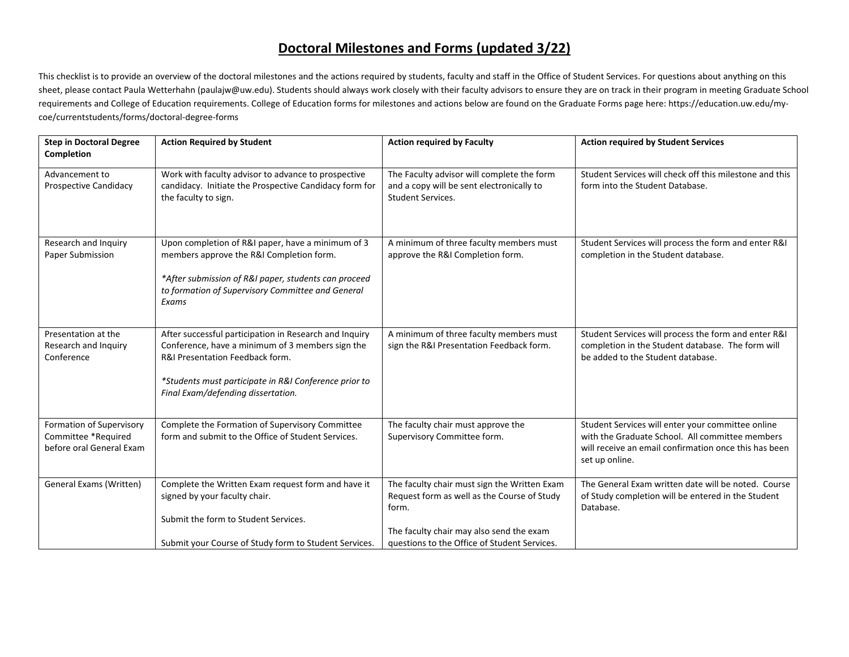## **Doctoral Milestones and Forms (updated 3/22)**

This checklist is to provide an overview of the doctoral milestones and the actions required by students, faculty and staff in the Office of Student Services. For questions about anything on this sheet, please contact Paula Wetterhahn (paulajw@uw.edu). Students should always work closely with their faculty advisors to ensure they are on track in their program in meeting Graduate School requirements and College of Education requirements. College of Education forms for milestones and actions below are found on the Graduate Forms page here: https://education.uw.edu/mycoe/currentstudents/forms/doctoral-degree-forms

| <b>Step in Doctoral Degree</b><br>Completion                                | <b>Action Required by Student</b>                                                                                                                                                                                                            | <b>Action required by Faculty</b>                                                                                                                                                                | <b>Action required by Student Services</b>                                                                                                                                      |
|-----------------------------------------------------------------------------|----------------------------------------------------------------------------------------------------------------------------------------------------------------------------------------------------------------------------------------------|--------------------------------------------------------------------------------------------------------------------------------------------------------------------------------------------------|---------------------------------------------------------------------------------------------------------------------------------------------------------------------------------|
| Advancement to<br><b>Prospective Candidacy</b>                              | Work with faculty advisor to advance to prospective<br>candidacy. Initiate the Prospective Candidacy form for<br>the faculty to sign.                                                                                                        | The Faculty advisor will complete the form<br>and a copy will be sent electronically to<br><b>Student Services.</b>                                                                              | Student Services will check off this milestone and this<br>form into the Student Database.                                                                                      |
| Research and Inquiry<br>Paper Submission                                    | Upon completion of R&I paper, have a minimum of 3<br>members approve the R&I Completion form.<br>*After submission of R&I paper, students can proceed<br>to formation of Supervisory Committee and General<br>Exams                          | A minimum of three faculty members must<br>approve the R&I Completion form.                                                                                                                      | Student Services will process the form and enter R&I<br>completion in the Student database.                                                                                     |
| Presentation at the<br>Research and Inquiry<br>Conference                   | After successful participation in Research and Inquiry<br>Conference, have a minimum of 3 members sign the<br>R&I Presentation Feedback form.<br>*Students must participate in R&I Conference prior to<br>Final Exam/defending dissertation. | A minimum of three faculty members must<br>sign the R&I Presentation Feedback form.                                                                                                              | Student Services will process the form and enter R&I<br>completion in the Student database. The form will<br>be added to the Student database.                                  |
| Formation of Supervisory<br>Committee *Required<br>before oral General Exam | Complete the Formation of Supervisory Committee<br>form and submit to the Office of Student Services.                                                                                                                                        | The faculty chair must approve the<br>Supervisory Committee form.                                                                                                                                | Student Services will enter your committee online<br>with the Graduate School. All committee members<br>will receive an email confirmation once this has been<br>set up online. |
| General Exams (Written)                                                     | Complete the Written Exam request form and have it<br>signed by your faculty chair.<br>Submit the form to Student Services.<br>Submit your Course of Study form to Student Services.                                                         | The faculty chair must sign the Written Exam<br>Request form as well as the Course of Study<br>form.<br>The faculty chair may also send the exam<br>questions to the Office of Student Services. | The General Exam written date will be noted. Course<br>of Study completion will be entered in the Student<br>Database.                                                          |